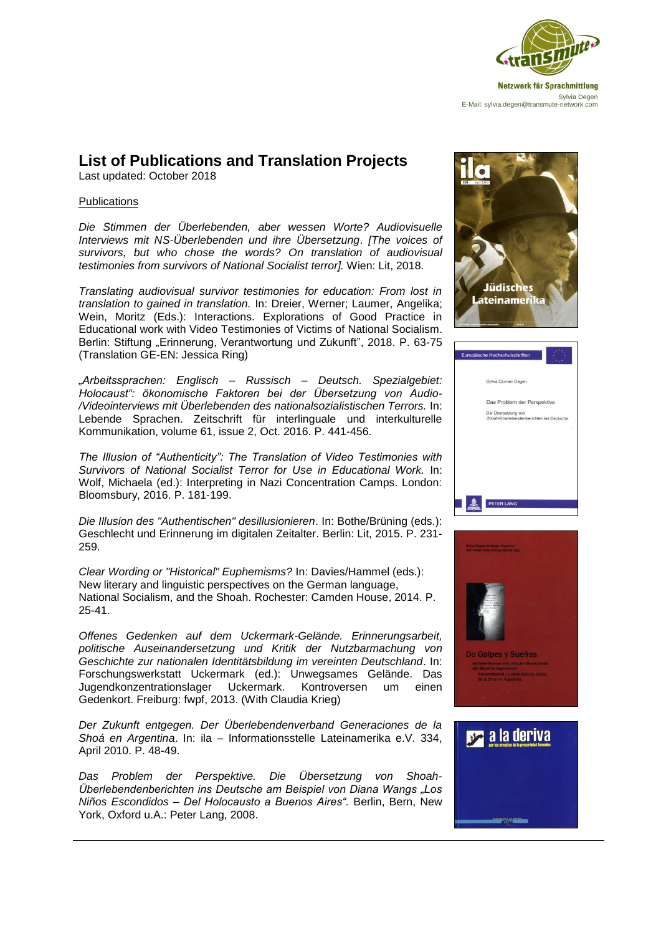

## **List of Publications and Translation Projects**

Last updated: October 2018

## **Publications**

*Die Stimmen der Überlebenden, aber wessen Worte? Audiovisuelle Interviews mit NS-Überlebenden und ihre Übersetzung*. *[The voices of survivors, but who chose the words? On translation of audiovisual testimonies from survivors of National Socialist terror].* Wien: Lit, 2018.

*Translating audiovisual survivor testimonies for education: From lost in translation to gained in translation.* In: Dreier, Werner; Laumer, Angelika; Wein, Moritz (Eds.): Interactions. Explorations of Good Practice in Educational work with Video Testimonies of Victims of National Socialism. Berlin: Stiftung "Erinnerung, Verantwortung und Zukunft", 2018. P. 63-75 (Translation GE-EN: Jessica Ring)

*"Arbeitssprachen: Englisch – Russisch – Deutsch. Spezialgebiet: Holocaust": ökonomische Faktoren bei der Übersetzung von Audio- /Videointerviews mit Überlebenden des nationalsozialistischen Terrors.* In: Lebende Sprachen. Zeitschrift für interlinguale und interkulturelle Kommunikation, volume 61, issue 2, Oct. 2016. P. 441-456.

*The Illusion of "Authenticity": The Translation of Video Testimonies with Survivors of National Socialist Terror for Use in Educational Work.* In: Wolf, Michaela (ed.): Interpreting in Nazi Concentration Camps. London: Bloomsbury, 2016. P. 181-199.

*Die Illusion des "Authentischen" desillusionieren*. In: Bothe/Brüning (eds.): Geschlecht und Erinnerung im digitalen Zeitalter. Berlin: Lit, 2015. P. 231- 259.

*Clear Wording or "Historical" Euphemisms?* In: Davies/Hammel (eds.): New literary and linguistic perspectives on the German language, National Socialism, and the Shoah. Rochester: Camden House, 2014. P. 25-41.

*Offenes Gedenken auf dem Uckermark-Gelände. Erinnerungsarbeit, politische Auseinandersetzung und Kritik der Nutzbarmachung von Geschichte zur nationalen Identitätsbildung im vereinten Deutschland*. In: Forschungswerkstatt Uckermark (ed.): Unwegsames Gelände. Das Jugendkonzentrationslager Uckermark. Kontroversen um einen Gedenkort. Freiburg: fwpf, 2013. (With Claudia Krieg)

*Der Zukunft entgegen. Der Überlebendenverband Generaciones de la Shoá en Argentina*. In: ila – Informationsstelle Lateinamerika e.V. 334, April 2010. P. 48-49.

*Das Problem der Perspektive. Die Übersetzung von Shoah-Überlebendenberichten ins Deutsche am Beispiel von Diana Wangs "Los Niños Escondidos – Del Holocausto a Buenos Aires".* Berlin, Bern, New York, Oxford u.A.: Peter Lang, 2008.





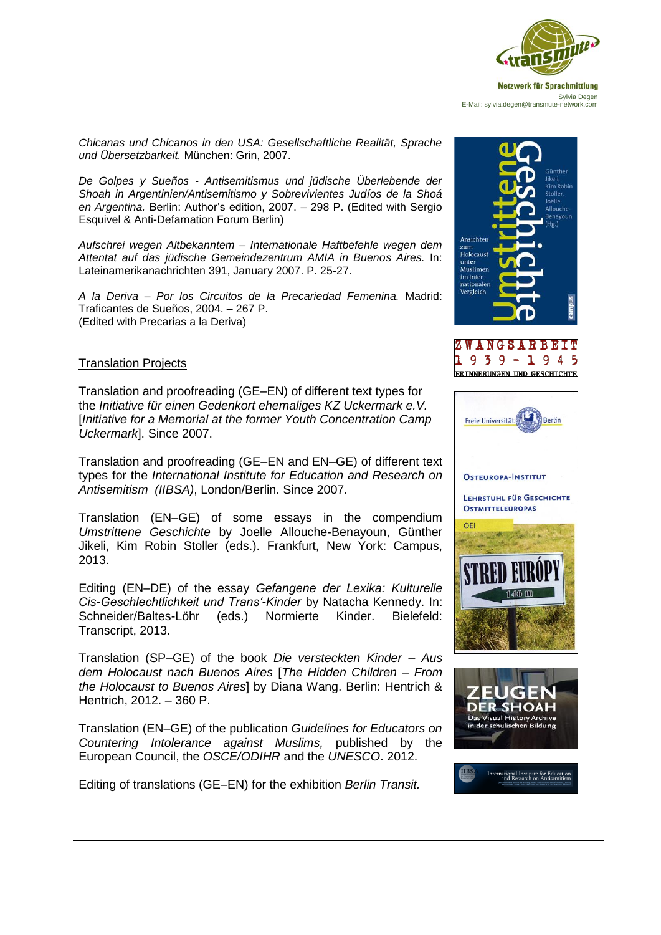

*Chicanas und Chicanos in den USA: Gesellschaftliche Realität, Sprache und Übersetzbarkeit.* München: Grin, 2007.

*De Golpes y Sueños - Antisemitismus und jüdische Überlebende der Shoah in Argentinien/Antisemitismo y Sobrevivientes Judíos de la Shoá en Argentina.* Berlin: Author's edition, 2007. – 298 P. (Edited with Sergio Esquivel & Anti-Defamation Forum Berlin)

*Aufschrei wegen Altbekanntem – Internationale Haftbefehle wegen dem Attentat auf das jüdische Gemeindezentrum AMIA in Buenos Aires.* In: Lateinamerikanachrichten 391, January 2007. P. 25-27.

*A la Deriva – Por los Circuitos de la Precariedad Femenina.* Madrid: Traficantes de Sueños, 2004. – 267 P. (Edited with Precarias a la Deriva)

## Translation Projects

Translation and proofreading (GE–EN) of different text types for the *Initiative für einen Gedenkort ehemaliges KZ Uckermark e.V.*  [*Initiative for a Memorial at the former Youth Concentration Camp Uckermark*]. Since 2007.

Translation and proofreading (GE–EN and EN–GE) of different text types for the *International Institute for Education and Research on Antisemitism (IIBSA)*, London/Berlin. Since 2007.

Translation (EN–GE) of some essays in the compendium *Umstrittene Geschichte* by Joelle Allouche-Benayoun, Günther Jikeli, Kim Robin Stoller (eds.). Frankfurt, New York: Campus, 2013.

Editing (EN–DE) of the essay *Gefangene der Lexika: Kulturelle Cis-Geschlechtlichkeit und Trans'-Kinder* by Natacha Kennedy. In: Schneider/Baltes-Löhr (eds.) Normierte Kinder. Bielefeld: Transcript, 2013.

Translation (SP–GE) of the book *Die versteckten Kinder – Aus dem Holocaust nach Buenos Aires* [*The Hidden Children – From the Holocaust to Buenos Aires*] by Diana Wang. Berlin: Hentrich & Hentrich, 2012. – 360 P.

Translation (EN–GE) of the publication *Guidelines for Educators on Countering Intolerance against Muslims,* published by the European Council, the *OSCE/ODIHR* and the *UNESCO*. 2012.

Editing of translations (GE–EN) for the exhibition *Berlin Transit.* 







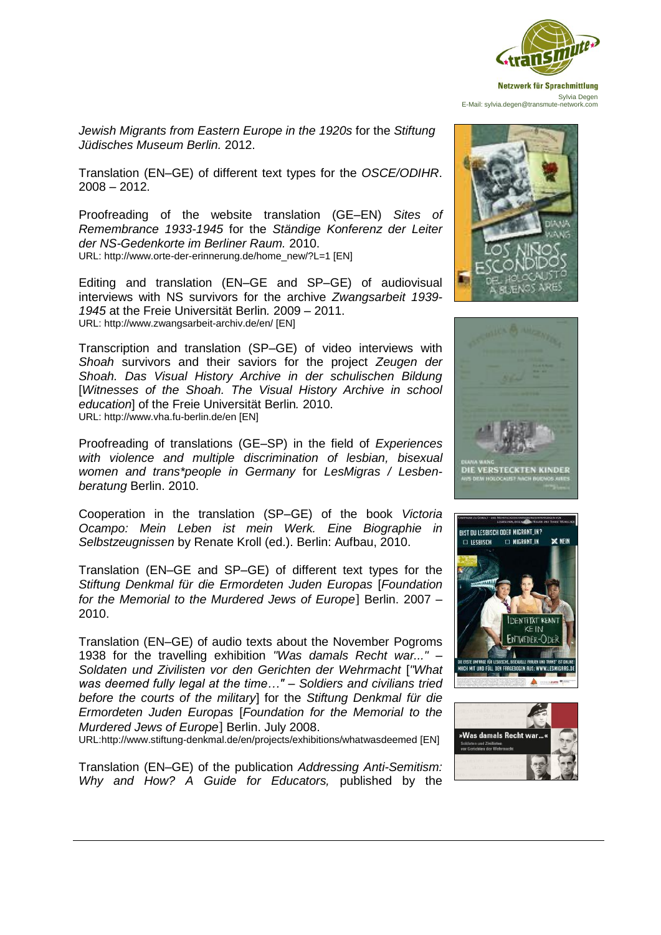

*Jewish Migrants from Eastern Europe in the 1920s* for the *Stiftung Jüdisches Museum Berlin.* 2012.

Translation (EN–GE) of different text types for the *OSCE/ODIHR*. 2008 – 2012.

Proofreading of the website translation (GE–EN) *Sites of Remembrance 1933-1945* for the *Ständige Konferenz der Leiter der NS-Gedenkorte im Berliner Raum.* 2010. URL: http://www.orte-der-erinnerung.de/home\_new/?L=1 [EN]

Editing and translation (EN–GE and SP–GE) of audiovisual interviews with NS survivors for the archive *Zwangsarbeit 1939- 1945* at the Freie Universität Berlin*.* 2009 – 2011. URL: http://www.zwangsarbeit-archiv.de/en/ [EN]

Transcription and translation (SP–GE) of video interviews with *Shoah* survivors and their saviors for the project *Zeugen der Shoah. Das Visual History Archive in der schulischen Bildung*  [*Witnesses of the Shoah. The Visual History Archive in school education*] of the Freie Universität Berlin*.* 2010. URL: http://www.vha.fu-berlin.de/en [EN]

Proofreading of translations (GE–SP) in the field of *Experiences with violence and multiple discrimination of lesbian, bisexual women and trans\*people in Germany* for *LesMigras / Lesbenberatung* Berlin. 2010.

Cooperation in the translation (SP–GE) of the book *Victoria Ocampo: Mein Leben ist mein Werk. Eine Biographie in Selbstzeugnissen* by Renate Kroll (ed.). Berlin: Aufbau, 2010.

Translation (EN–GE and SP–GE) of different text types for the *Stiftung Denkmal für die Ermordeten Juden Europas* [*Foundation for the Memorial to the Murdered Jews of Europe*] Berlin. 2007 – 2010.

Translation (EN–GE) of audio texts about the November Pogroms 1938 for the travelling exhibition *"Was damals Recht war..." – Soldaten und Zivilisten vor den Gerichten der Wehrmacht* [*"What was deemed fully legal at the time…" – Soldiers and civilians tried before the courts of the military*] for the *Stiftung Denkmal für die Ermordeten Juden Europas* [*Foundation for the Memorial to the Murdered Jews of Europe*] Berlin. July 2008.

URL:http://www.stiftung-denkmal.de/en/projects/exhibitions/whatwasdeemed [EN]

Translation (EN–GE) of the publication *Addressing Anti-Semitism: Why and How? A Guide for Educators,* published by the